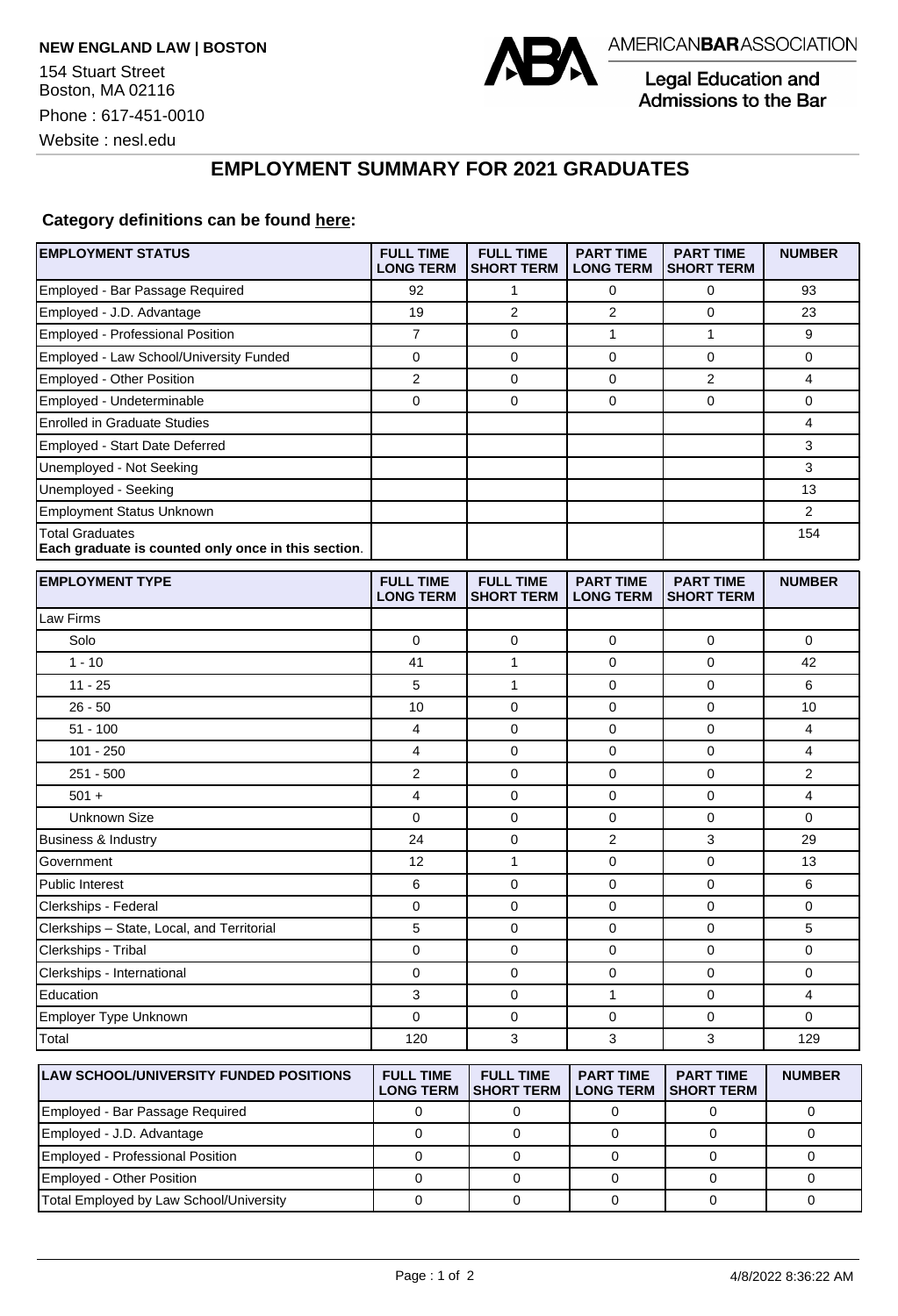

Legal Education and Admissions to the Bar

Website : nesl.edu

## **EMPLOYMENT SUMMARY FOR 2021 GRADUATES**

## **Category definitions can be found [here:](https://www.americanbar.org/content/dam/aba/administrative/legal_education_and_admissions_to_the_bar/Questionnaires/2021/2022-employment-protocols-for-the-class-of-2021-september-2021.pdf)**

| <b>EMPLOYMENT STATUS</b>                                                      | <b>FULL TIME</b><br><b>LONG TERM</b> | <b>FULL TIME</b><br><b>SHORT TERM</b> | <b>PART TIME</b><br><b>LONG TERM</b> | <b>PART TIME</b><br><b>SHORT TERM</b> | <b>NUMBER</b>  |
|-------------------------------------------------------------------------------|--------------------------------------|---------------------------------------|--------------------------------------|---------------------------------------|----------------|
| Employed - Bar Passage Required                                               | 92                                   | 1                                     | 0                                    | $\mathbf 0$                           | 93             |
| Employed - J.D. Advantage                                                     | 19                                   | $\overline{2}$                        | $\overline{2}$                       | 0                                     | 23             |
| Employed - Professional Position                                              | $\overline{7}$                       | $\mathbf 0$                           | 1                                    | $\mathbf{1}$                          | 9              |
| Employed - Law School/University Funded                                       | 0                                    | $\mathbf 0$                           | $\mathbf 0$                          | $\mathbf 0$                           | 0              |
| Employed - Other Position                                                     | 2                                    | 0                                     | 0                                    | $\overline{2}$                        | 4              |
| Employed - Undeterminable                                                     | 0                                    | $\mathbf 0$                           | 0                                    | $\mathbf 0$                           | 0              |
| <b>Enrolled in Graduate Studies</b>                                           |                                      |                                       |                                      |                                       | 4              |
| Employed - Start Date Deferred                                                |                                      |                                       |                                      |                                       | 3              |
| Unemployed - Not Seeking                                                      |                                      |                                       |                                      |                                       | 3              |
| Unemployed - Seeking                                                          |                                      |                                       |                                      |                                       | 13             |
| <b>Employment Status Unknown</b>                                              |                                      |                                       |                                      |                                       | $\overline{2}$ |
| <b>Total Graduates</b><br>Each graduate is counted only once in this section. |                                      |                                       |                                      |                                       | 154            |
| <b>EMPLOYMENT TYPE</b>                                                        | <b>FULL TIME</b><br><b>LONG TERM</b> | <b>FULL TIME</b><br><b>SHORT TERM</b> | <b>PART TIME</b><br><b>LONG TERM</b> | <b>PART TIME</b><br><b>SHORT TERM</b> | <b>NUMBER</b>  |
| <b>Law Firms</b>                                                              |                                      |                                       |                                      |                                       |                |
| Solo                                                                          | $\mathbf 0$                          | $\mathbf 0$                           | $\mathbf 0$                          | $\mathbf 0$                           | 0              |
| $1 - 10$                                                                      | 41                                   | $\mathbf{1}$                          | 0                                    | $\mathbf 0$                           | 42             |
| $11 - 25$                                                                     | 5                                    | $\mathbf{1}$                          | 0                                    | $\mathbf 0$                           | 6              |
| $26 - 50$                                                                     | 10                                   | $\mathbf 0$                           | 0                                    | $\mathbf 0$                           | 10             |
| $51 - 100$                                                                    | 4                                    | 0                                     | 0                                    | 0                                     | 4              |
| $101 - 250$                                                                   | 4                                    | $\mathbf 0$                           | 0                                    | $\mathbf 0$                           | 4              |
| $251 - 500$                                                                   | $\overline{2}$                       | $\mathbf 0$                           | 0                                    | $\mathbf 0$                           | 2              |
| $501 +$                                                                       | 4                                    | $\mathbf 0$                           | 0                                    | $\mathbf 0$                           | 4              |
| Unknown Size                                                                  | 0                                    | $\mathbf 0$                           | 0                                    | $\mathbf 0$                           | 0              |
| Business & Industry                                                           | 24                                   | 0                                     | 2                                    | 3                                     | 29             |
| Government                                                                    | 12                                   | $\mathbf{1}$                          | 0                                    | 0                                     | 13             |
| <b>Public Interest</b>                                                        | 6                                    | 0                                     | 0                                    | $\mathbf 0$                           | 6              |
| Clerkships - Federal                                                          | 0                                    | $\mathbf 0$                           | 0                                    | $\mathbf 0$                           | 0              |
| Clerkships - State, Local, and Territorial                                    | 5                                    | 0                                     | 0                                    | 0                                     | 5              |
| Clerkships - Tribal                                                           | 0                                    | 0                                     | $\mathbf 0$                          | $\mathbf 0$                           | 0              |
| Clerkships - International                                                    | 0                                    | $\mathbf 0$                           | 0                                    | $\mathbf 0$                           | 0              |
| Education                                                                     | 3                                    | 0                                     | 1                                    | 0                                     | 4              |
| Employer Type Unknown                                                         | $\Omega$                             | $\mathbf 0$                           | 0                                    | $\mathbf 0$                           | 0              |
| Total                                                                         | 120                                  | 3                                     | 3                                    | 3                                     | 129            |
| <b>LAW SCHOOL/UNIVERSITY FUNDED POSITIONS</b>                                 | <b>FULL TIME</b><br><b>LONG TERM</b> | <b>FULL TIME</b><br><b>SHORT TERM</b> | <b>PART TIME</b><br><b>LONG TERM</b> | <b>PART TIME</b><br><b>SHORT TERM</b> | <b>NUMBER</b>  |
| Employed - Bar Passage Required                                               | $\mathbf 0$                          | 0                                     | $\mathbf 0$                          | 0                                     | 0              |
| Employed - J.D. Advantage                                                     | $\pmb{0}$                            | 0                                     | $\pmb{0}$                            | $\mathbf 0$                           | $\mathbf 0$    |

Employed - Professional Position 0 0 0 0 0 Employed - Other Position 0 0 0 0 0 Total Employed by Law School/University 0 0 0 0 0